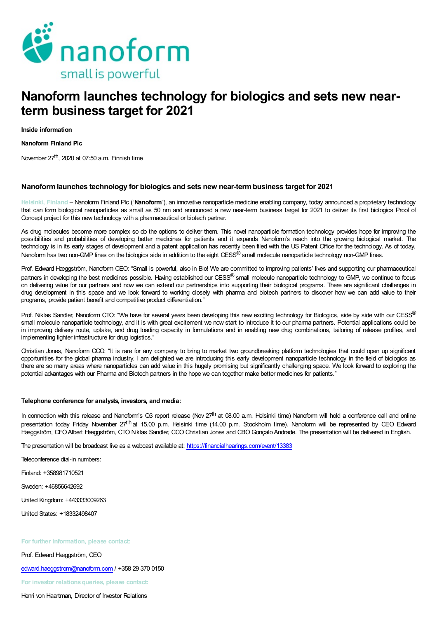

# Nanoform launches technology for biologics and sets new nearterm business target for 2021

Inside information

Nanoform Finland Plc

November 27<sup>th</sup>, 2020 at 07:50 a.m. Finnish time

## Nanoformlaunches technology for biologics and sets new near-termbusiness target for 2021

Helsinki, Finland – Nanoform Finland Plc ("Nanoform"), an innovative nanoparticle medicine enabling company, today announced a proprietary technology that can form biological nanoparticles as small as 50 nm and announced a new near-term business target for 2021 to deliver its first biologics Proof of Concept project for this new technology with a pharmaceutical or biotech partner.

As drug molecules become more complex so do the options to deliver them. This novel nanoparticle formation technology provides hope for improving the possibilities and probabilities of developing better medicines for patients and it expands Nanoform's reach into the growing biological market. The technology is in its early stages of development and a patent application has recently been filed with the US Patent Office for the technology. As of today, Nanoform has two non-GMP lines on the biologics side in addition to the eight CESS<sup>®</sup> small molecule nanoparticle technology non-GMP lines.

Prof. Edward Hæggström, Nanoform CEO: "Small is powerful, also in Bio! We are committed to improving patients' lives and supporting our pharmaceutical partners in developing the best medicines possible. Having established our CESS<sup>®</sup> small molecule nanoparticle technology to GMP, we continue to focus on delivering value for our partners and now we can extend our partnerships into supporting their biological programs. There are significant challenges in drug development in this space and we look forward to working closely with pharma and biotech partners to discover how we can add value to their programs, provide patient benefit and competitive product differentiation."

Prof. Niklas Sandler, Nanoform CTO: "We have for several years been developing this new exciting technology for Biologics, side by side with our CESS® small molecule nanoparticle technology, and it is with great excitement we now start to introduce it to our pharma partners. Potential applications could be in improving delivery route, uptake, and drug loading capacity in formulations and in enabling new drug combinations, tailoring of release profiles, and implementing lighter infrastructure for drug logistics.'

Christian Jones, Nanoform CCO: "It is rare for any company to bring to market two groundbreaking platform technologies that could open up significant opportunities for the global pharma industry. I am delighted we are introducing this early development nanoparticle technology in the field of biologics as there are so many areas where nanoparticles can add value in this hugely promising but significantly challenging space. We look forward to exploring the potential advantages with our Pharma and Biotech partners in the hope we can together make better medicines for patients."

### Telephone conference for analysts, investors, and media:

In connection with this release and Nanoform's Q3 report release (Nov 27<sup>th</sup> at 08.00 a.m. Helsinki time) Nanoform will hold a conference call and online presentation today Friday November 27<sup>th</sup>at 15.00 p.m. Helsinki time (14.00 p.m. Stockholm time). Nanoform will be represented by CEO Edward Hæggström, CFO Albert Hæggström, CTO Niklas Sandler, CCO Christian Jones and CBO Gonçalo Andrade. The presentation will be delivered in English.

The presentation will be broadcast live as a webcast available at: https://financialhearings.com/event/13383

Teleconference dial-in numbers:

Finland: +358981710521

Sweden: +46856642692

United Kingdom: +443333009263

United States: +18332498407

#### For further information, please contact:

Prof. Edward Hæggström, CEO

edward.haeggstrom@nanoform.com / +358 29 370 0150

For investor relations queries, please contact:

Henri von Haartman, Director of Investor Relations